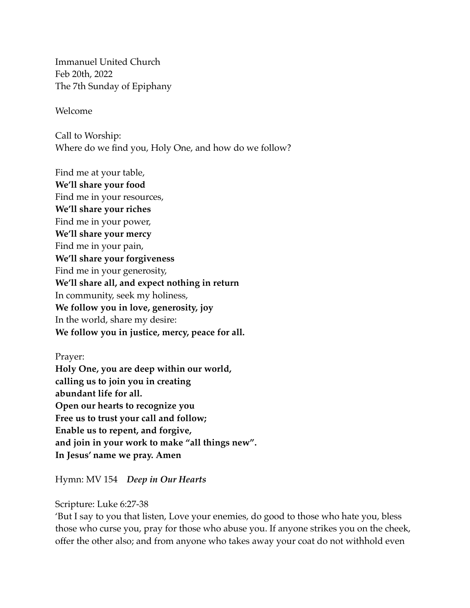Immanuel United Church Feb 20th, 2022 The 7th Sunday of Epiphany

Welcome

Call to Worship: Where do we find you, Holy One, and how do we follow?

Find me at your table, **We'll share your food** Find me in your resources, **We'll share your riches** Find me in your power, **We'll share your mercy** Find me in your pain, **We'll share your forgiveness** Find me in your generosity, **We'll share all, and expect nothing in return** In community, seek my holiness, **We follow you in love, generosity, joy** In the world, share my desire: **We follow you in justice, mercy, peace for all.**

Prayer: **Holy One, you are deep within our world, calling us to join you in creating abundant life for all. Open our hearts to recognize you Free us to trust your call and follow; Enable us to repent, and forgive, and join in your work to make "all things new". In Jesus' name we pray. Amen**

Hymn: MV 154 *Deep in Our Hearts*

Scripture: Luke 6:27-38

'But I say to you that listen, Love your enemies, do good to those who hate you, bless those who curse you, pray for those who abuse you. If anyone strikes you on the cheek, offer the other also; and from anyone who takes away your coat do not withhold even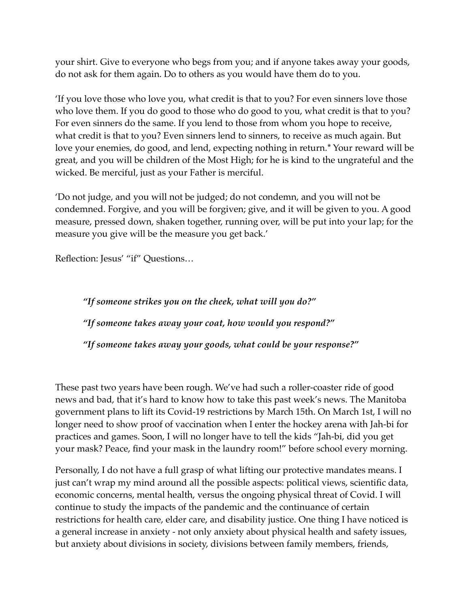your shirt. Give to everyone who begs from you; and if anyone takes away your goods, do not ask for them again. Do to others as you would have them do to you.

'If you love those who love you, what credit is that to you? For even sinners love those who love them. If you do good to those who do good to you, what credit is that to you? For even sinners do the same. If you lend to those from whom you hope to receive, what credit is that to you? Even sinners lend to sinners, to receive as much again. But love your enemies, do good, and lend, expecting nothing in return.[\\*](javascript:void(0);) Your reward will be great, and you will be children of the Most High; for he is kind to the ungrateful and the wicked. Be merciful, just as your Father is merciful.

'Do not judge, and you will not be judged; do not condemn, and you will not be condemned. Forgive, and you will be forgiven; give, and it will be given to you. A good measure, pressed down, shaken together, running over, will be put into your lap; for the measure you give will be the measure you get back.'

Reflection: Jesus' "if" Questions…

*"If someone strikes you on the cheek, what will you do?" "If someone takes away your coat, how would you respond?" "If someone takes away your goods, what could be your response?"*

These past two years have been rough. We've had such a roller-coaster ride of good news and bad, that it's hard to know how to take this past week's news. The Manitoba government plans to lift its Covid-19 restrictions by March 15th. On March 1st, I will no longer need to show proof of vaccination when I enter the hockey arena with Jah-bi for practices and games. Soon, I will no longer have to tell the kids "Jah-bi, did you get your mask? Peace, find your mask in the laundry room!" before school every morning.

Personally, I do not have a full grasp of what lifting our protective mandates means. I just can't wrap my mind around all the possible aspects: political views, scientific data, economic concerns, mental health, versus the ongoing physical threat of Covid. I will continue to study the impacts of the pandemic and the continuance of certain restrictions for health care, elder care, and disability justice. One thing I have noticed is a general increase in anxiety - not only anxiety about physical health and safety issues, but anxiety about divisions in society, divisions between family members, friends,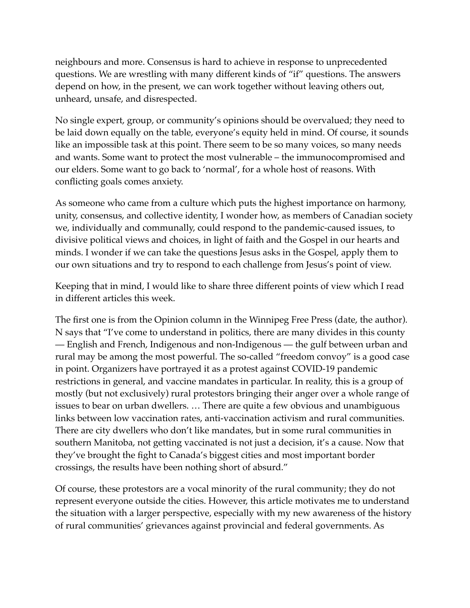neighbours and more. Consensus is hard to achieve in response to unprecedented questions. We are wrestling with many different kinds of "if" questions. The answers depend on how, in the present, we can work together without leaving others out, unheard, unsafe, and disrespected.

No single expert, group, or community's opinions should be overvalued; they need to be laid down equally on the table, everyone's equity held in mind. Of course, it sounds like an impossible task at this point. There seem to be so many voices, so many needs and wants. Some want to protect the most vulnerable – the immunocompromised and our elders. Some want to go back to 'normal', for a whole host of reasons. With conflicting goals comes anxiety.

As someone who came from a culture which puts the highest importance on harmony, unity, consensus, and collective identity, I wonder how, as members of Canadian society we, individually and communally, could respond to the pandemic-caused issues, to divisive political views and choices, in light of faith and the Gospel in our hearts and minds. I wonder if we can take the questions Jesus asks in the Gospel, apply them to our own situations and try to respond to each challenge from Jesus's point of view.

Keeping that in mind, I would like to share three different points of view which I read in different articles this week.

The first one is from the Opinion column in the Winnipeg Free Press (date, the author). N says that "I've come to understand in politics, there are many divides in this county — English and French, Indigenous and non-Indigenous — the gulf between urban and rural may be among the most powerful. The so-called "freedom convoy" is a good case in point. Organizers have portrayed it as a protest against COVID-19 pandemic restrictions in general, and vaccine mandates in particular. In reality, this is a group of mostly (but not exclusively) rural protestors bringing their anger over a whole range of issues to bear on urban dwellers. … There are quite a few obvious and unambiguous links between low vaccination rates, anti-vaccination activism and rural communities. There are city dwellers who don't like mandates, but in some rural communities in southern Manitoba, not getting vaccinated is not just a decision, it's a cause. Now that they've brought the fight to Canada's biggest cities and most important border crossings, the results have been nothing short of absurd."

Of course, these protestors are a vocal minority of the rural community; they do not represent everyone outside the cities. However, this article motivates me to understand the situation with a larger perspective, especially with my new awareness of the history of rural communities' grievances against provincial and federal governments. As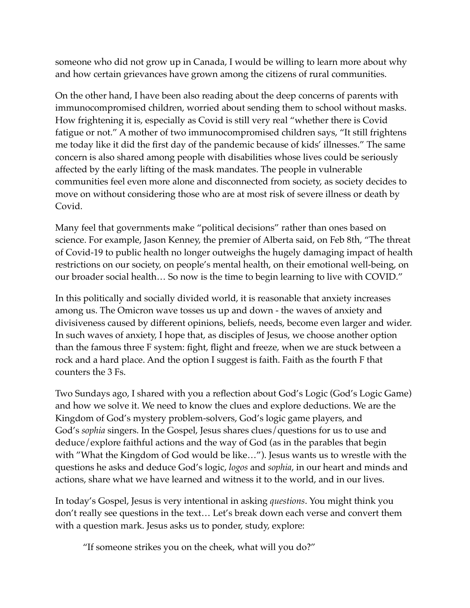someone who did not grow up in Canada, I would be willing to learn more about why and how certain grievances have grown among the citizens of rural communities.

On the other hand, I have been also reading about the deep concerns of parents with immunocompromised children, worried about sending them to school without masks. How frightening it is, especially as Covid is still very real "whether there is Covid fatigue or not." A mother of two immunocompromised children says, "It still frightens me today like it did the first day of the pandemic because of kids' illnesses." The same concern is also shared among people with disabilities whose lives could be seriously affected by the early lifting of the mask mandates. The people in vulnerable communities feel even more alone and disconnected from society, as society decides to move on without considering those who are at most risk of severe illness or death by Covid.

Many feel that governments make "political decisions" rather than ones based on science. For example, Jason Kenney, the premier of Alberta said, on Feb 8th, "The threat of Covid-19 to public health no longer outweighs the hugely damaging impact of health restrictions on our society, on people's mental health, on their emotional well-being, on our broader social health… So now is the time to begin learning to live with COVID."

In this politically and socially divided world, it is reasonable that anxiety increases among us. The Omicron wave tosses us up and down - the waves of anxiety and divisiveness caused by different opinions, beliefs, needs, become even larger and wider. In such waves of anxiety, I hope that, as disciples of Jesus, we choose another option than the famous three F system: fight, flight and freeze, when we are stuck between a rock and a hard place. And the option I suggest is faith. Faith as the fourth F that counters the 3 Fs.

Two Sundays ago, I shared with you a reflection about God's Logic (God's Logic Game) and how we solve it. We need to know the clues and explore deductions. We are the Kingdom of God's mystery problem-solvers, God's logic game players, and God's *sophia* singers. In the Gospel, Jesus shares clues/questions for us to use and deduce/explore faithful actions and the way of God (as in the parables that begin with "What the Kingdom of God would be like…"). Jesus wants us to wrestle with the questions he asks and deduce God's logic, *logos* and *sophia*, in our heart and minds and actions, share what we have learned and witness it to the world, and in our lives.

In today's Gospel, Jesus is very intentional in asking *questions*. You might think you don't really see questions in the text… Let's break down each verse and convert them with a question mark. Jesus asks us to ponder, study, explore:

"If someone strikes you on the cheek, what will you do?"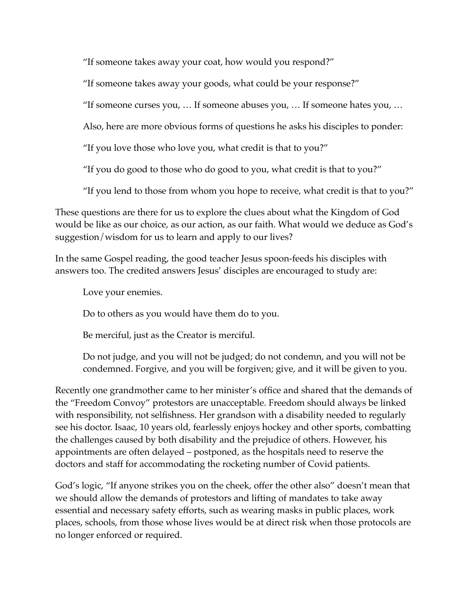"If someone takes away your coat, how would you respond?"

"If someone takes away your goods, what could be your response?"

"If someone curses you, … If someone abuses you, … If someone hates you, …

Also, here are more obvious forms of questions he asks his disciples to ponder:

"If you love those who love you, what credit is that to you?"

"If you do good to those who do good to you, what credit is that to you?"

"If you lend to those from whom you hope to receive, what credit is that to you?"

These questions are there for us to explore the clues about what the Kingdom of God would be like as our choice, as our action, as our faith. What would we deduce as God's suggestion/wisdom for us to learn and apply to our lives?

In the same Gospel reading, the good teacher Jesus spoon-feeds his disciples with answers too. The credited answers Jesus' disciples are encouraged to study are:

Love your enemies.

Do to others as you would have them do to you.

Be merciful, just as the Creator is merciful.

Do not judge, and you will not be judged; do not condemn, and you will not be condemned. Forgive, and you will be forgiven; give, and it will be given to you.

Recently one grandmother came to her minister's office and shared that the demands of the "Freedom Convoy" protestors are unacceptable. Freedom should always be linked with responsibility, not selfishness. Her grandson with a disability needed to regularly see his doctor. Isaac, 10 years old, fearlessly enjoys hockey and other sports, combatting the challenges caused by both disability and the prejudice of others. However, his appointments are often delayed – postponed, as the hospitals need to reserve the doctors and staff for accommodating the rocketing number of Covid patients.

God's logic, "If anyone strikes you on the cheek, offer the other also" doesn't mean that we should allow the demands of protestors and lifting of mandates to take away essential and necessary safety efforts, such as wearing masks in public places, work places, schools, from those whose lives would be at direct risk when those protocols are no longer enforced or required.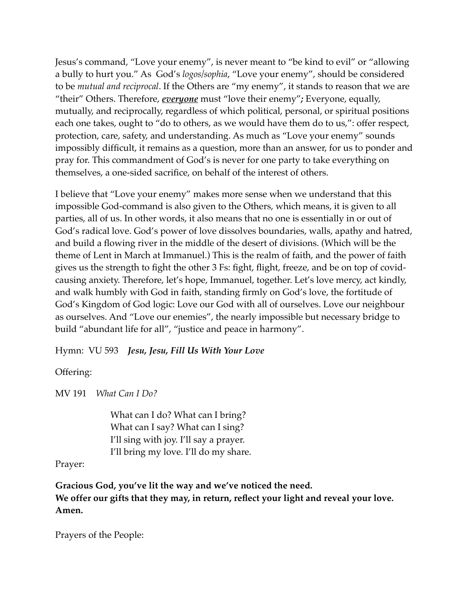Jesus's command, "Love your enemy", is never meant to "be kind to evil" or "allowing a bully to hurt you." As God's *logos/sophia*, "Love your enemy", should be considered to be *mutual and reciprocal*. If the Others are "my enemy", it stands to reason that we are "their" Others. Therefore, *everyone* must "love their enemy"*;* Everyone, equally, mutually, and reciprocally, regardless of which political, personal, or spiritual positions each one takes, ought to "do to others, as we would have them do to us,": offer respect, protection, care, safety, and understanding. As much as "Love your enemy" sounds impossibly difficult, it remains as a question, more than an answer, for us to ponder and pray for. This commandment of God's is never for one party to take everything on themselves, a one-sided sacrifice, on behalf of the interest of others.

I believe that "Love your enemy" makes more sense when we understand that this impossible God-command is also given to the Others, which means, it is given to all parties, all of us. In other words, it also means that no one is essentially in or out of God's radical love. God's power of love dissolves boundaries, walls, apathy and hatred, and build a flowing river in the middle of the desert of divisions. (Which will be the theme of Lent in March at Immanuel.) This is the realm of faith, and the power of faith gives us the strength to fight the other 3 Fs: fight, flight, freeze, and be on top of covidcausing anxiety. Therefore, let's hope, Immanuel, together. Let's love mercy, act kindly, and walk humbly with God in faith, standing firmly on God's love, the fortitude of God's Kingdom of God logic: Love our God with all of ourselves. Love our neighbour as ourselves. And "Love our enemies", the nearly impossible but necessary bridge to build "abundant life for all", "justice and peace in harmony".

Hymn: VU 593 *Jesu, Jesu, Fill Us With Your Love*

Offering:

MV 191 *What Can I Do?* 

What can I do? What can I bring? What can I say? What can I sing? I'll sing with joy. I'll say a prayer. I'll bring my love. I'll do my share.

## Prayer:

**Gracious God, you've lit the way and we've noticed the need. We offer our gifts that they may, in return, reflect your light and reveal your love. Amen.** 

Prayers of the People: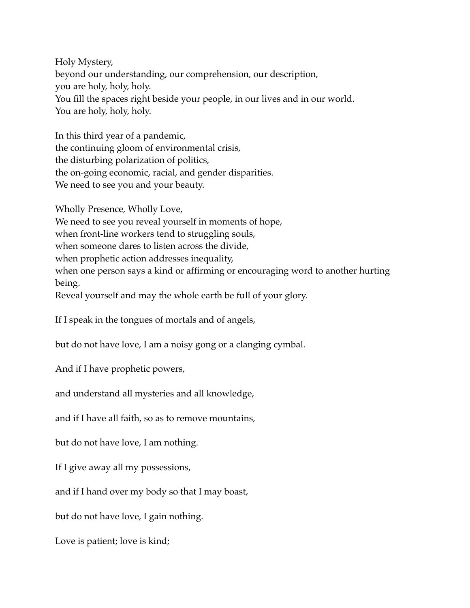Holy Mystery, beyond our understanding, our comprehension, our description, you are holy, holy, holy. You fill the spaces right beside your people, in our lives and in our world. You are holy, holy, holy.

In this third year of a pandemic, the continuing gloom of environmental crisis, the disturbing polarization of politics, the on-going economic, racial, and gender disparities. We need to see you and your beauty.

Wholly Presence, Wholly Love,

We need to see you reveal yourself in moments of hope,

when front-line workers tend to struggling souls,

when someone dares to listen across the divide,

when prophetic action addresses inequality,

when one person says a kind or affirming or encouraging word to another hurting being.

Reveal yourself and may the whole earth be full of your glory.

If I speak in the tongues of mortals and of angels,

but do not have love, I am a noisy gong or a clanging cymbal.

And if I have prophetic powers,

and understand all mysteries and all knowledge,

and if I have all faith, so as to remove mountains,

but do not have love, I am nothing.

If I give away all my possessions,

and if I hand over my body so that I may boast,

but do not have love, I gain nothing.

Love is patient; love is kind;